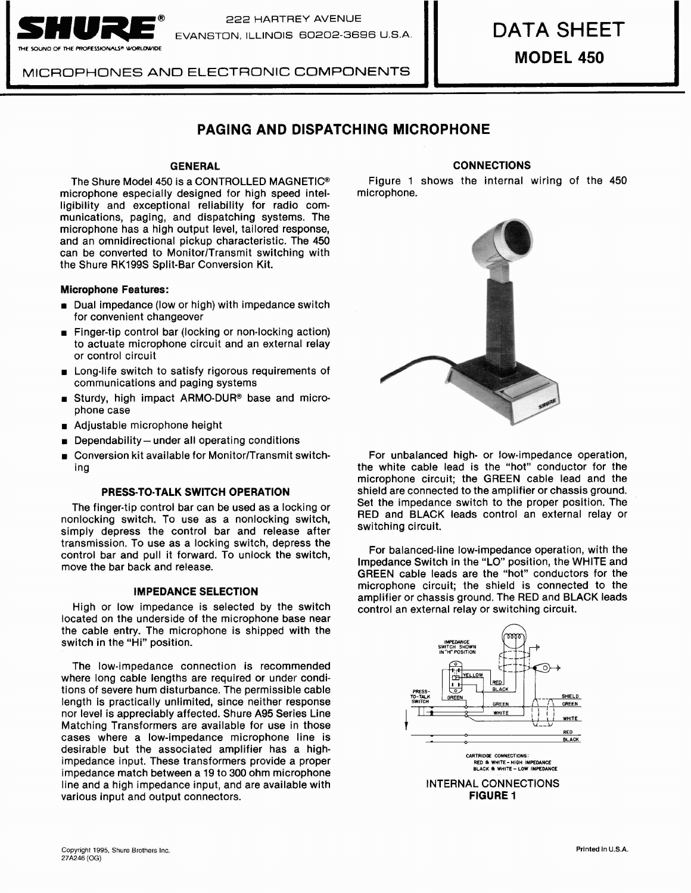

**i** 

222 HARTREY AVENUE *SnUe@* EVANSTON, ILLINOIS 60202-3698 US.A.

MICROPHONES AND ELECTRONIC COMPONENTS

# **MODEL 450**

# **PAGING AND DISPATCHING MICROPHONE**

microphone especially designed for high speed intelligibility and exceptional reliability for radio communications, paging, and dispatching systems. The microphone has a high output level, tailored response, and an omnidirectional pickup characteristic. The 450 can be converted to Monitor/Transmit switching with the Shure RK199S Split-Bar Conversion Kit.

# Microphone Features:

- Dual impedance (low or high) with impedance switch for convenient changeover
- Finger-tip control bar (locking or non-locking action) to actuate microphone circuit and an external relay or control circuit
- Long-life switch to satisfy rigorous requirements of communications and paging systems
- **Burdy**, high impact ARMO-DUR® base and microphone case
- Adjustable microphone height
- Dependability  $-$  under all operating conditions
- Conversion kit available for MonitorlTransmit switching

#### PRESS-TO-TALK SWITCH OPERATION

The finger-tip control bar can be used as a locking or nonlocking switch. To use as a nonlocking switch, simply depress the control bar and release after transmission. To use as a locking switch, depress the control bar and pull it forward. To unlock the switch, move the bar back and release.

# IMPEDANCE SELECTION

High or low impedance is selected by the switch located on the underside of the microphone base near the cable entry. The microphone is shipped with the switch in the "Hi" position.

The low-impedance connection is recommended where long cable lengths are required or under conditions of severe hum disturbance. The permissible cable length is practically unlimited, since neither response nor level is appreciably affected. Shure A95 Series Line Matching Transformers are available for use in those cases where a low-impedance microphone line is desirable but the associated amplifier has a highimpedance input. These transformers provide a proper impedance match between a 19 to 300 ohm microphone line and a high impedance input, and are available with various input and output connectors.

# GENERAL CONNECTIONS

The Shure Model 450 is a CONTROLLED MAGNETIC<sup>®</sup> Figure 1 shows the internal wiring of the 450 incrophone especially designed for high speed intel-<br>icrophone especially designed for high speed intel-



For unbalanced high- or low-impedance operation, the white cable lead is the "hot" conductor for the microphone circuit; the GREEN cable lead and the shield are connected to the amplifier or chassis ground. Set the impedance switch to the proper position. The RED and BLACK leads control an external relay or switching circuit.

For balanced-line low-impedance operation, with the Impedance Switch in the "LO" position, the WHITE and GREEN cable leads are the "hot" conductors for the microphone circuit; the shield is connected to the amplifier or chassis ground. The RED and BLACK leads control an external relay or switching circuit.